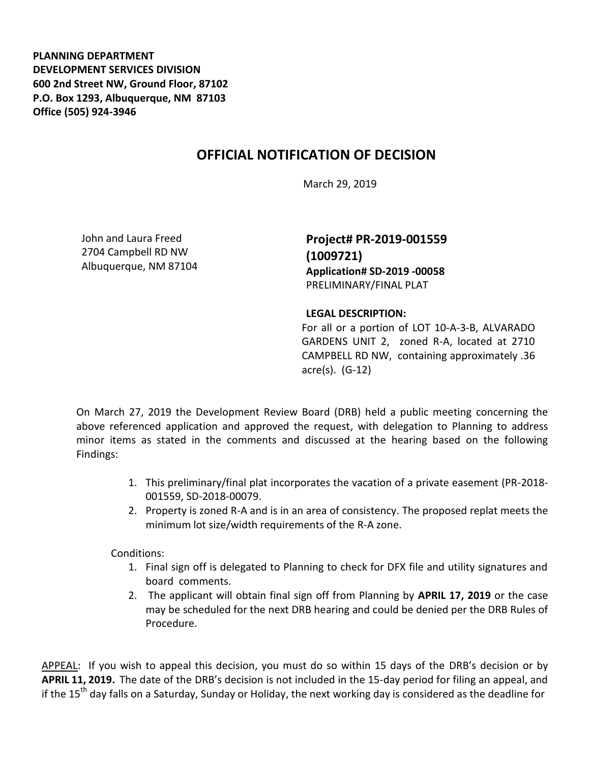**PLANNING DEPARTMENT DEVELOPMENT SERVICES DIVISION 600 2nd Street NW, Ground Floor, 87102 P.O. Box 1293, Albuquerque, NM 87103 Office (505) 924-3946** 

## **OFFICIAL NOTIFICATION OF DECISION**

March 29, 2019

John and Laura Freed 2704 Campbell RD NW Albuquerque, NM 87104 **Project# PR-2019-001559 (1009721) Application# SD-2019 -00058** PRELIMINARY/FINAL PLAT

## **LEGAL DESCRIPTION:**

For all or a portion of LOT 10-A-3-B, ALVARADO GARDENS UNIT 2, zoned R-A, located at 2710 CAMPBELL RD NW, containing approximately .36 acre(s). (G-12)

On March 27, 2019 the Development Review Board (DRB) held a public meeting concerning the above referenced application and approved the request, with delegation to Planning to address minor items as stated in the comments and discussed at the hearing based on the following Findings:

- 1. This preliminary/final plat incorporates the vacation of a private easement (PR-2018- 001559, SD-2018-00079.
- 2. Property is zoned R-A and is in an area of consistency. The proposed replat meets the minimum lot size/width requirements of the R-A zone.

Conditions:

- 1. Final sign off is delegated to Planning to check for DFX file and utility signatures and board comments.
- 2. The applicant will obtain final sign off from Planning by **APRIL 17, 2019** or the case may be scheduled for the next DRB hearing and could be denied per the DRB Rules of Procedure.

APPEAL: If you wish to appeal this decision, you must do so within 15 days of the DRB's decision or by **APRIL 11, 2019.** The date of the DRB's decision is not included in the 15-day period for filing an appeal, and if the 15<sup>th</sup> day falls on a Saturday, Sunday or Holiday, the next working day is considered as the deadline for